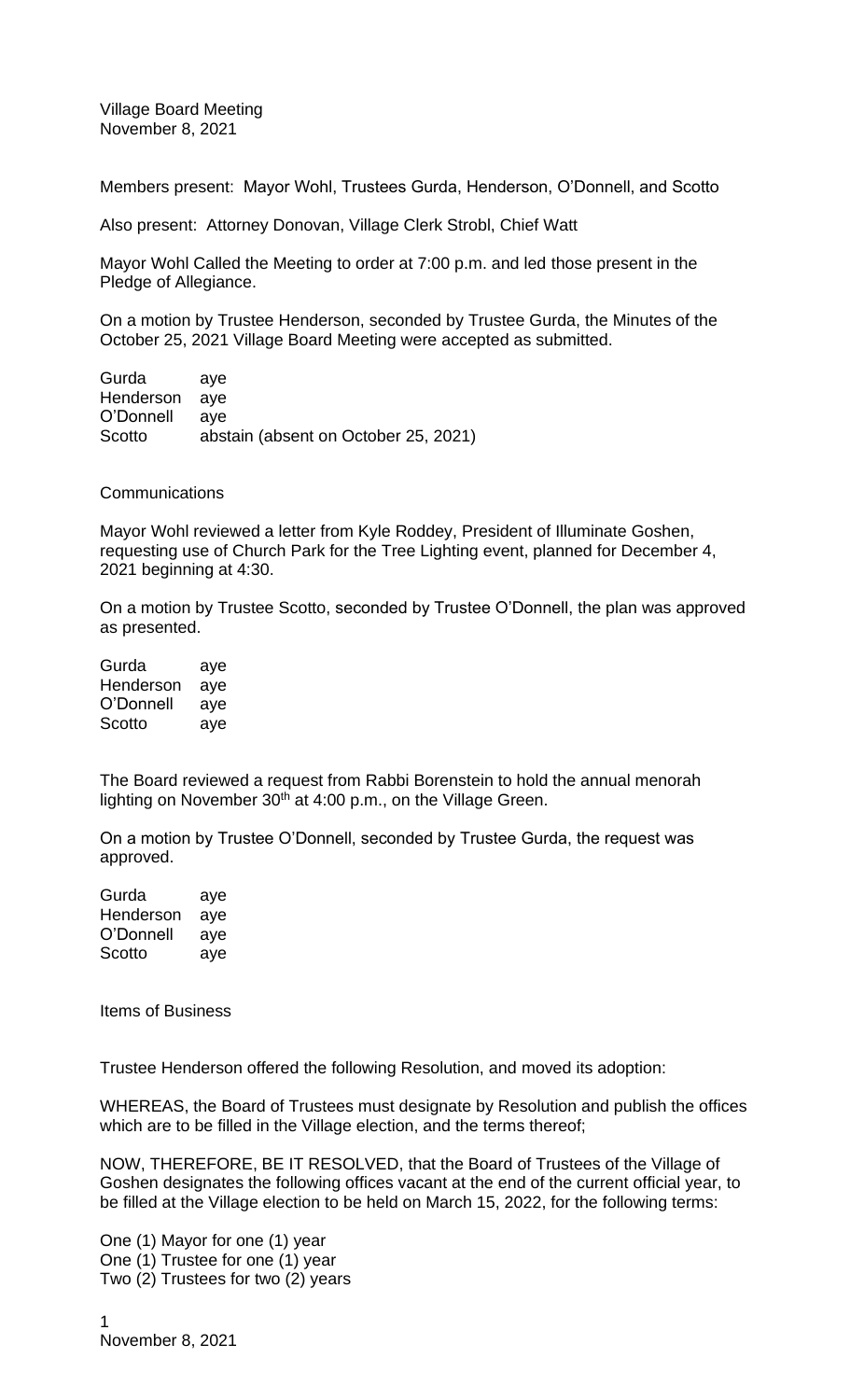Village Board Meeting November 8, 2021

Members present: Mayor Wohl, Trustees Gurda, Henderson, O'Donnell, and Scotto

Also present: Attorney Donovan, Village Clerk Strobl, Chief Watt

Mayor Wohl Called the Meeting to order at 7:00 p.m. and led those present in the Pledge of Allegiance.

On a motion by Trustee Henderson, seconded by Trustee Gurda, the Minutes of the October 25, 2021 Village Board Meeting were accepted as submitted.

Gurda aye Henderson aye O'Donnell aye Scotto abstain (absent on October 25, 2021)

**Communications** 

Mayor Wohl reviewed a letter from Kyle Roddey, President of Illuminate Goshen, requesting use of Church Park for the Tree Lighting event, planned for December 4, 2021 beginning at 4:30.

On a motion by Trustee Scotto, seconded by Trustee O'Donnell, the plan was approved as presented.

| Gurda     | aye |
|-----------|-----|
| Henderson | aye |
| O'Donnell | aye |
| Scotto    | aye |

The Board reviewed a request from Rabbi Borenstein to hold the annual menorah lighting on November 30<sup>th</sup> at 4:00 p.m., on the Village Green.

On a motion by Trustee O'Donnell, seconded by Trustee Gurda, the request was approved.

| Gurda     | aye |
|-----------|-----|
| Henderson | aye |
| O'Donnell | aye |
| Scotto    | aye |

Items of Business

Trustee Henderson offered the following Resolution, and moved its adoption:

WHEREAS, the Board of Trustees must designate by Resolution and publish the offices which are to be filled in the Village election, and the terms thereof;

NOW, THEREFORE, BE IT RESOLVED, that the Board of Trustees of the Village of Goshen designates the following offices vacant at the end of the current official year, to be filled at the Village election to be held on March 15, 2022, for the following terms:

One (1) Mayor for one (1) year One (1) Trustee for one (1) year Two (2) Trustees for two (2) years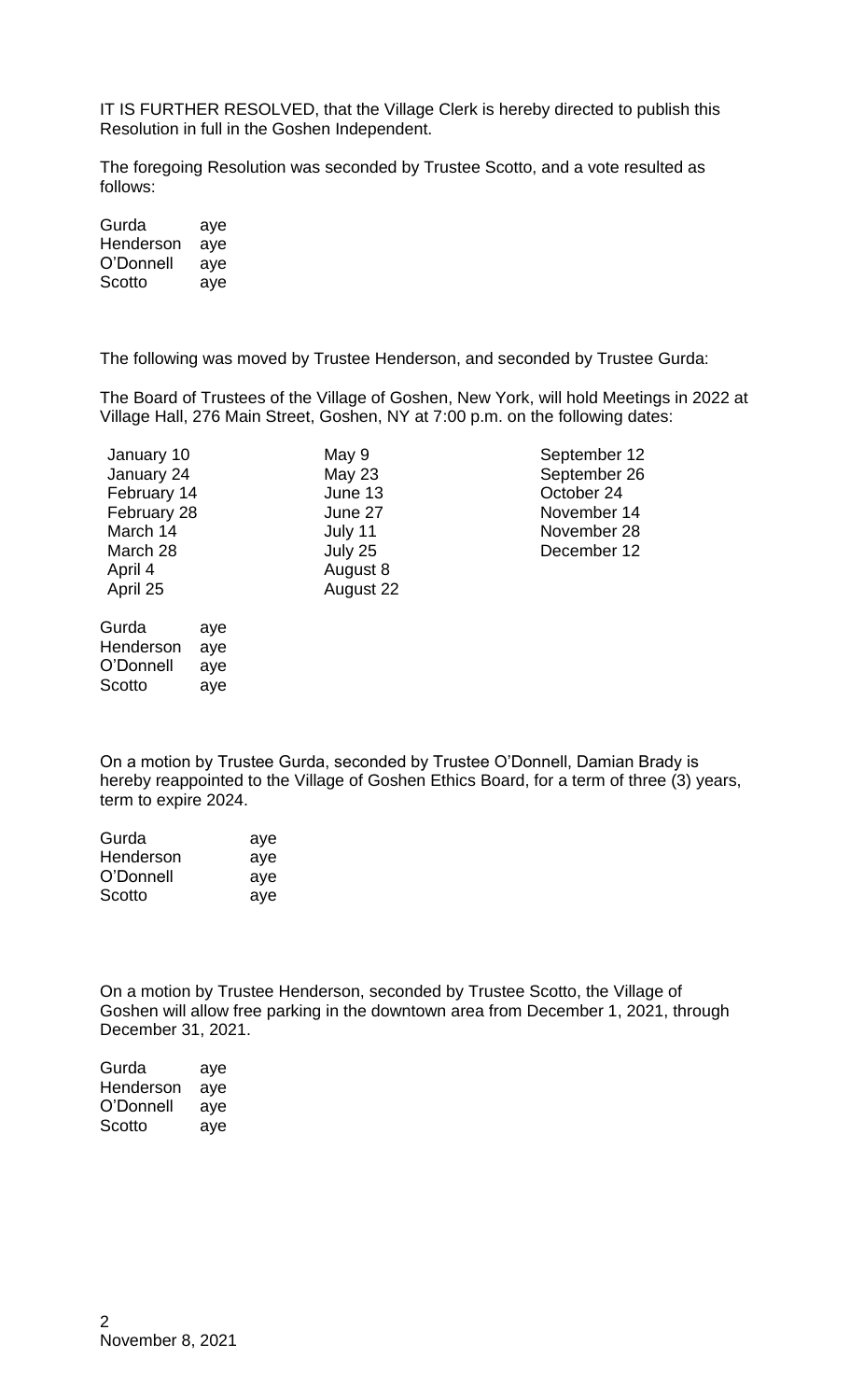IT IS FURTHER RESOLVED, that the Village Clerk is hereby directed to publish this Resolution in full in the Goshen Independent.

The foregoing Resolution was seconded by Trustee Scotto, and a vote resulted as follows:

| Gurda     | aye |
|-----------|-----|
| Henderson | aye |
| O'Donnell | aye |
| Scotto    | aye |

The following was moved by Trustee Henderson, and seconded by Trustee Gurda:

The Board of Trustees of the Village of Goshen, New York, will hold Meetings in 2022 at Village Hall, 276 Main Street, Goshen, NY at 7:00 p.m. on the following dates:

| January 10<br>January 24<br>February 14<br>February 28<br>March 14<br>March 28 |                          | May 9<br>May $23$<br>June 13<br>June 27<br>July 11<br>July 25 | September 12<br>September 26<br>October 24<br>November 14<br>November 28<br>December 12 |
|--------------------------------------------------------------------------------|--------------------------|---------------------------------------------------------------|-----------------------------------------------------------------------------------------|
| April 4<br>April 25                                                            |                          | August 8<br>August 22                                         |                                                                                         |
| Gurda<br>Henderson<br>O'Donnell<br>Scotto                                      | aye<br>aye<br>aye<br>ave |                                                               |                                                                                         |

On a motion by Trustee Gurda, seconded by Trustee O'Donnell, Damian Brady is hereby reappointed to the Village of Goshen Ethics Board, for a term of three (3) years, term to expire 2024.

| Gurda     | aye |
|-----------|-----|
| Henderson | aye |
| O'Donnell | aye |
| Scotto    | aye |
|           |     |

On a motion by Trustee Henderson, seconded by Trustee Scotto, the Village of Goshen will allow free parking in the downtown area from December 1, 2021, through December 31, 2021.

| Gurda     | aye |
|-----------|-----|
| Henderson | aye |
| O'Donnell | aye |
| Scotto    | aye |